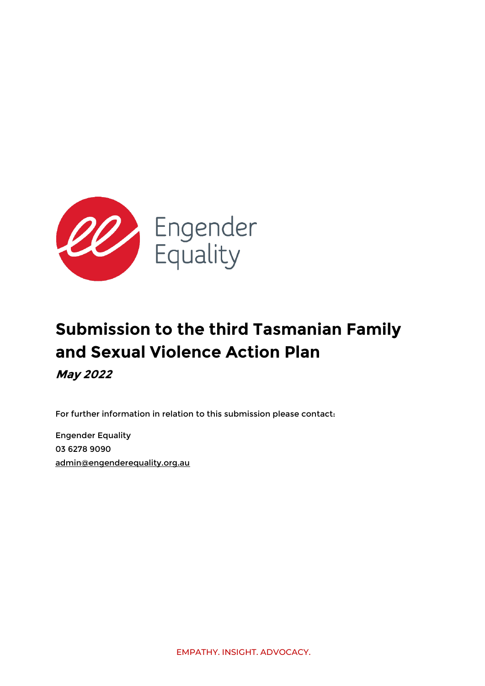

# **Submission to the third Tasmanian Family and Sexual Violence Action Plan May 2022**

For further information in relation to this submission please contact:

Engender Equality 03 6278 9090 [admin@engenderequality.org.au](mailto:admin@engenderequality.org.au)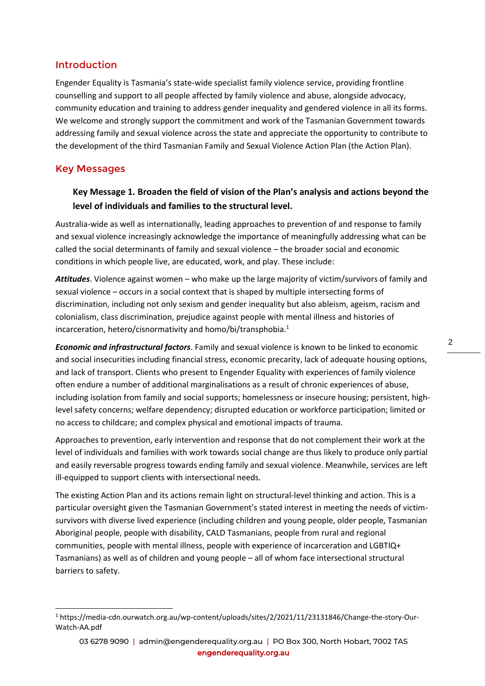#### Introduction

Engender Equality is Tasmania's state-wide specialist family violence service, providing frontline counselling and support to all people affected by family violence and abuse, alongside advocacy, community education and training to address gender inequality and gendered violence in all its forms. We welcome and strongly support the commitment and work of the Tasmanian Government towards addressing family and sexual violence across the state and appreciate the opportunity to contribute to the development of the third Tasmanian Family and Sexual Violence Action Plan (the Action Plan).

#### Key Messages

## **Key Message 1. Broaden the field of vision of the Plan's analysis and actions beyond the level of individuals and families to the structural level.**

Australia-wide as well as internationally, leading approaches to prevention of and response to family and sexual violence increasingly acknowledge the importance of meaningfully addressing what can be called the social determinants of family and sexual violence – the broader social and economic conditions in which people live, are educated, work, and play. These include:

*Attitudes*. Violence against women – who make up the large majority of victim/survivors of family and sexual violence – occurs in a social context that is shaped by multiple intersecting forms of discrimination, including not only sexism and gender inequality but also ableism, ageism, racism and colonialism, class discrimination, prejudice against people with mental illness and histories of incarceration, hetero/cisnormativity and homo/bi/transphobia.<sup>1</sup>

*Economic and infrastructural factors*. Family and sexual violence is known to be linked to economic and social insecurities including financial stress, economic precarity, lack of adequate housing options, and lack of transport. Clients who present to Engender Equality with experiences of family violence often endure a number of additional marginalisations as a result of chronic experiences of abuse, including isolation from family and social supports; homelessness or insecure housing; persistent, highlevel safety concerns; welfare dependency; disrupted education or workforce participation; limited or no access to childcare; and complex physical and emotional impacts of trauma.

Approaches to prevention, early intervention and response that do not complement their work at the level of individuals and families with work towards social change are thus likely to produce only partial and easily reversable progress towards ending family and sexual violence. Meanwhile, services are left ill-equipped to support clients with intersectional needs.

The existing Action Plan and its actions remain light on structural-level thinking and action. This is a particular oversight given the Tasmanian Government's stated interest in meeting the needs of victimsurvivors with diverse lived experience (including children and young people, older people, Tasmanian Aboriginal people, people with disability, CALD Tasmanians, people from rural and regional communities, people with mental illness, people with experience of incarceration and LGBTIQ+ Tasmanians) as well as of children and young people – all of whom face intersectional structural barriers to safety.

<sup>1</sup> https://media-cdn.ourwatch.org.au/wp-content/uploads/sites/2/2021/11/23131846/Change-the-story-Our-Watch-AA.pdf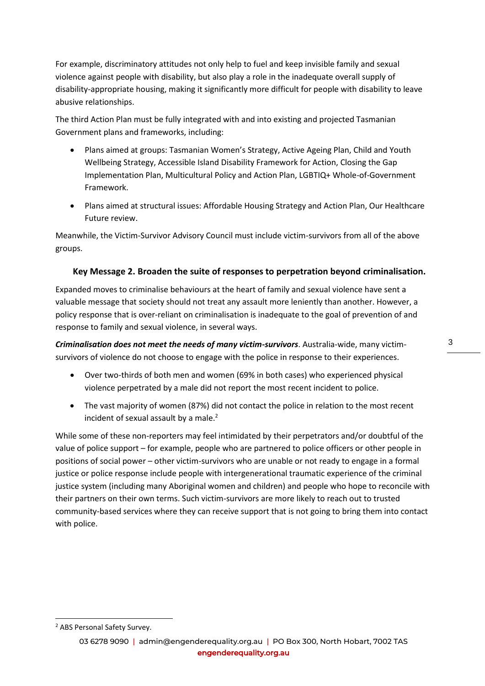For example, discriminatory attitudes not only help to fuel and keep invisible family and sexual violence against people with disability, but also play a role in the inadequate overall supply of disability-appropriate housing, making it significantly more difficult for people with disability to leave abusive relationships.

The third Action Plan must be fully integrated with and into existing and projected Tasmanian Government plans and frameworks, including:

- Plans aimed at groups: Tasmanian Women's Strategy, Active Ageing Plan, Child and Youth Wellbeing Strategy, Accessible Island Disability Framework for Action, Closing the Gap Implementation Plan, Multicultural Policy and Action Plan, LGBTIQ+ Whole-of-Government Framework.
- Plans aimed at structural issues: Affordable Housing Strategy and Action Plan, Our Healthcare Future review.

Meanwhile, the Victim-Survivor Advisory Council must include victim-survivors from all of the above groups.

#### **Key Message 2. Broaden the suite of responses to perpetration beyond criminalisation.**

Expanded moves to criminalise behaviours at the heart of family and sexual violence have sent a valuable message that society should not treat any assault more leniently than another. However, a policy response that is over-reliant on criminalisation is inadequate to the goal of prevention of and response to family and sexual violence, in several ways.

*Criminalisation does not meet the needs of many victim-survivors*. Australia-wide, many victimsurvivors of violence do not choose to engage with the police in response to their experiences.

- Over two-thirds of both men and women (69% in both cases) who experienced physical violence perpetrated by a male did not report the most recent incident to police.
- The vast majority of women (87%) did not contact the police in relation to the most recent incident of sexual assault by a male.<sup>2</sup>

While some of these non-reporters may feel intimidated by their perpetrators and/or doubtful of the value of police support – for example, people who are partnered to police officers or other people in positions of social power – other victim-survivors who are unable or not ready to engage in a formal justice or police response include people with intergenerational traumatic experience of the criminal justice system (including many Aboriginal women and children) and people who hope to reconcile with their partners on their own terms. Such victim-survivors are more likely to reach out to trusted community-based services where they can receive support that is not going to bring them into contact with police.

<sup>2</sup> ABS Personal Safety Survey.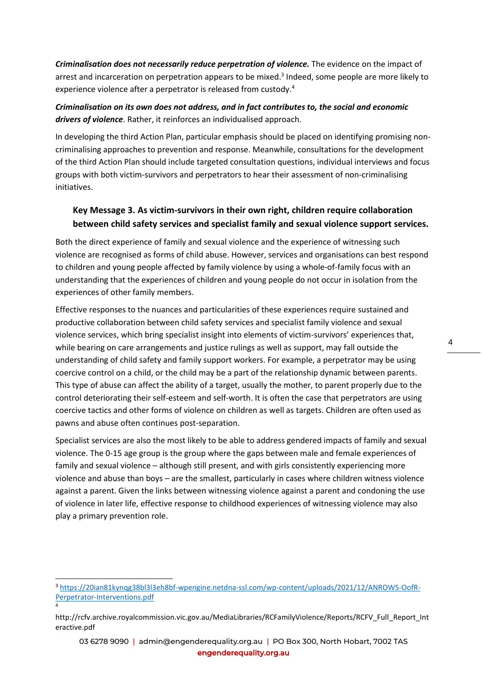*Criminalisation does not necessarily reduce perpetration of violence.* The evidence on the impact of arrest and incarceration on perpetration appears to be mixed.<sup>3</sup> Indeed, some people are more likely to experience violence after a perpetrator is released from custody.<sup>4</sup>

*Criminalisation on its own does not address, and in fact contributes to, the social and economic drivers of violence*. Rather, it reinforces an individualised approach.

In developing the third Action Plan, particular emphasis should be placed on identifying promising noncriminalising approaches to prevention and response. Meanwhile, consultations for the development of the third Action Plan should include targeted consultation questions, individual interviews and focus groups with both victim-survivors and perpetrators to hear their assessment of non-criminalising initiatives.

## **Key Message 3. As victim-survivors in their own right, children require collaboration between child safety services and specialist family and sexual violence support services.**

Both the direct experience of family and sexual violence and the experience of witnessing such violence are recognised as forms of child abuse. However, services and organisations can best respond to children and young people affected by family violence by using a whole-of-family focus with an understanding that the experiences of children and young people do not occur in isolation from the experiences of other family members.

Effective responses to the nuances and particularities of these experiences require sustained and productive collaboration between child safety services and specialist family violence and sexual violence services, which bring specialist insight into elements of victim-survivors' experiences that, while bearing on care arrangements and justice rulings as well as support, may fall outside the understanding of child safety and family support workers. For example, a perpetrator may be using coercive control on a child, or the child may be a part of the relationship dynamic between parents. This type of abuse can affect the ability of a target, usually the mother, to parent properly due to the control deteriorating their self-esteem and self-worth. It is often the case that perpetrators are using coercive tactics and other forms of violence on children as well as targets. Children are often used as pawns and abuse often continues post-separation.

Specialist services are also the most likely to be able to address gendered impacts of family and sexual violence. The 0-15 age group is the group where the gaps between male and female experiences of family and sexual violence – although still present, and with girls consistently experiencing more violence and abuse than boys – are the smallest, particularly in cases where children witness violence against a parent. Given the links between witnessing violence against a parent and condoning the use of violence in later life, effective response to childhood experiences of witnessing violence may also play a primary prevention role.

<sup>3</sup> [https://20ian81kynqg38bl3l3eh8bf-wpengine.netdna-ssl.com/wp-content/uploads/2021/12/ANROWS-OofR-](https://20ian81kynqg38bl3l3eh8bf-wpengine.netdna-ssl.com/wp-content/uploads/2021/12/ANROWS-OofR-Perpetrator-Interventions.pdf)[Perpetrator-Interventions.pdf](https://20ian81kynqg38bl3l3eh8bf-wpengine.netdna-ssl.com/wp-content/uploads/2021/12/ANROWS-OofR-Perpetrator-Interventions.pdf)

<sup>4</sup>

http://rcfv.archive.royalcommission.vic.gov.au/MediaLibraries/RCFamilyViolence/Reports/RCFV\_Full\_Report\_Int eractive.pdf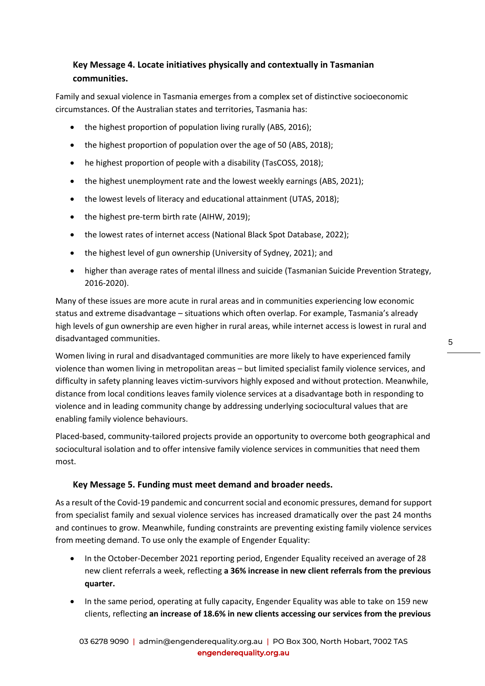# **Key Message 4. Locate initiatives physically and contextually in Tasmanian communities.**

Family and sexual violence in Tasmania emerges from a complex set of distinctive socioeconomic circumstances. Of the Australian states and territories, Tasmania has:

- the highest proportion of population living rurally (ABS, 2016);
- the highest proportion of population over the age of 50 (ABS, 2018);
- he highest proportion of people with a disability (TasCOSS, 2018);
- the highest unemployment rate and the lowest weekly earnings (ABS, 2021);
- the lowest levels of literacy and educational attainment (UTAS, 2018);
- the highest pre-term birth rate (AIHW, 2019);
- the lowest rates of internet access (National Black Spot Database, 2022);
- the highest level of gun ownership (University of Sydney, 2021); and
- higher than average rates of mental illness and suicide (Tasmanian Suicide Prevention Strategy, 2016-2020).

Many of these issues are more acute in rural areas and in communities experiencing low economic status and extreme disadvantage – situations which often overlap. For example, Tasmania's already high levels of gun ownership are even higher in rural areas, while internet access is lowest in rural and disadvantaged communities.

Women living in rural and disadvantaged communities are more likely to have experienced family violence than women living in metropolitan areas – but limited specialist family violence services, and difficulty in safety planning leaves victim-survivors highly exposed and without protection. Meanwhile, distance from local conditions leaves family violence services at a disadvantage both in responding to violence and in leading community change by addressing underlying sociocultural values that are enabling family violence behaviours.

Placed-based, community-tailored projects provide an opportunity to overcome both geographical and sociocultural isolation and to offer intensive family violence services in communities that need them most.

#### **Key Message 5. Funding must meet demand and broader needs.**

As a result of the Covid-19 pandemic and concurrent social and economic pressures, demand for support from specialist family and sexual violence services has increased dramatically over the past 24 months and continues to grow. Meanwhile, funding constraints are preventing existing family violence services from meeting demand. To use only the example of Engender Equality:

- In the October-December 2021 reporting period, Engender Equality received an average of 28 new client referrals a week, reflecting **a 36% increase in new client referrals from the previous quarter.**
- In the same period, operating at fully capacity, Engender Equality was able to take on 159 new clients, reflecting **an increase of 18.6% in new clients accessing our services from the previous**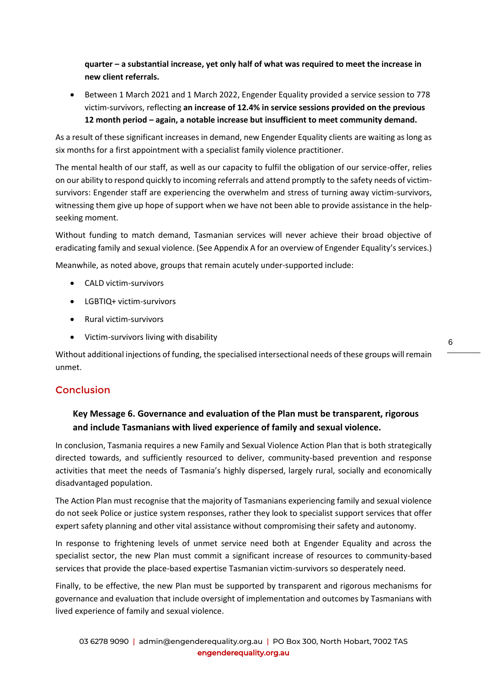**quarter – a substantial increase, yet only half of what was required to meet the increase in new client referrals.**

• Between 1 March 2021 and 1 March 2022, Engender Equality provided a service session to 778 victim-survivors, reflecting **an increase of 12.4% in service sessions provided on the previous 12 month period – again, a notable increase but insufficient to meet community demand.**

As a result of these significant increases in demand, new Engender Equality clients are waiting as long as six months for a first appointment with a specialist family violence practitioner.

The mental health of our staff, as well as our capacity to fulfil the obligation of our service-offer, relies on our ability to respond quickly to incoming referrals and attend promptly to the safety needs of victimsurvivors: Engender staff are experiencing the overwhelm and stress of turning away victim-survivors, witnessing them give up hope of support when we have not been able to provide assistance in the helpseeking moment.

Without funding to match demand, Tasmanian services will never achieve their broad objective of eradicating family and sexual violence. (See Appendix A for an overview of Engender Equality's services.)

Meanwhile, as noted above, groups that remain acutely under-supported include:

- CALD victim-survivors
- LGBTIQ+ victim-survivors
- Rural victim-survivors
- Victim-survivors living with disability

Without additional injections of funding, the specialised intersectional needs of these groups will remain unmet.

#### Conclusion

## **Key Message 6. Governance and evaluation of the Plan must be transparent, rigorous and include Tasmanians with lived experience of family and sexual violence.**

In conclusion, Tasmania requires a new Family and Sexual Violence Action Plan that is both strategically directed towards, and sufficiently resourced to deliver, community-based prevention and response activities that meet the needs of Tasmania's highly dispersed, largely rural, socially and economically disadvantaged population.

The Action Plan must recognise that the majority of Tasmanians experiencing family and sexual violence do not seek Police or justice system responses, rather they look to specialist support services that offer expert safety planning and other vital assistance without compromising their safety and autonomy.

In response to frightening levels of unmet service need both at Engender Equality and across the specialist sector, the new Plan must commit a significant increase of resources to community-based services that provide the place-based expertise Tasmanian victim-survivors so desperately need.

Finally, to be effective, the new Plan must be supported by transparent and rigorous mechanisms for governance and evaluation that include oversight of implementation and outcomes by Tasmanians with lived experience of family and sexual violence.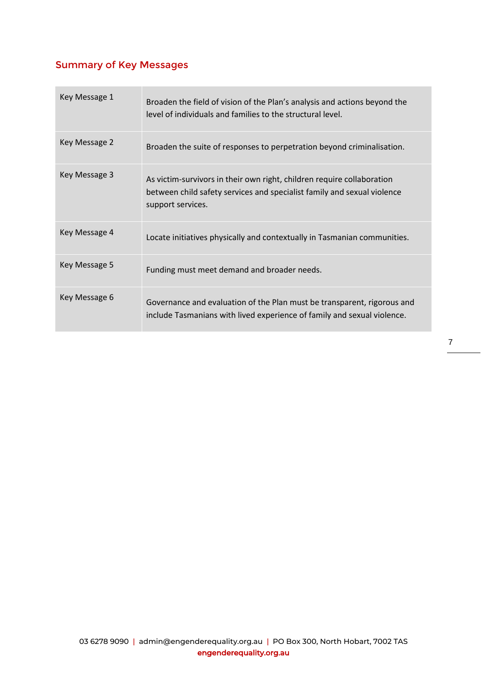# Summary of Key Messages

| Key Message 1 | Broaden the field of vision of the Plan's analysis and actions beyond the<br>level of individuals and families to the structural level.                                |
|---------------|------------------------------------------------------------------------------------------------------------------------------------------------------------------------|
| Key Message 2 | Broaden the suite of responses to perpetration beyond criminalisation.                                                                                                 |
| Key Message 3 | As victim-survivors in their own right, children require collaboration<br>between child safety services and specialist family and sexual violence<br>support services. |
| Key Message 4 | Locate initiatives physically and contextually in Tasmanian communities.                                                                                               |
| Key Message 5 | Funding must meet demand and broader needs.                                                                                                                            |
| Key Message 6 | Governance and evaluation of the Plan must be transparent, rigorous and<br>include Tasmanians with lived experience of family and sexual violence.                     |

7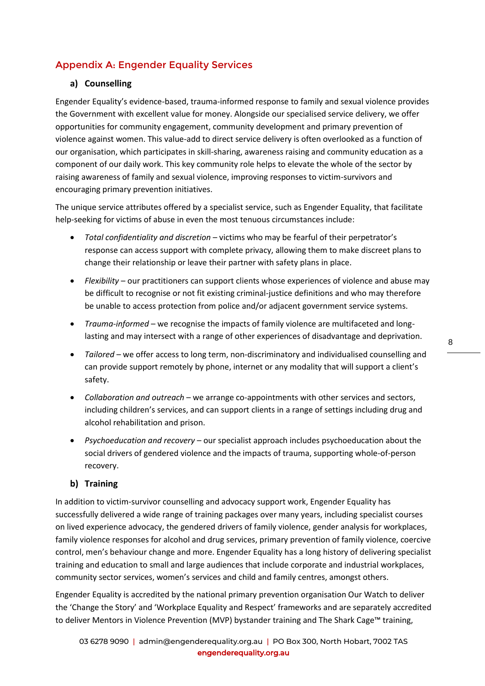# Appendix A: Engender Equality Services

#### **a) Counselling**

Engender Equality's evidence-based, trauma-informed response to family and sexual violence provides the Government with excellent value for money. Alongside our specialised service delivery, we offer opportunities for community engagement, community development and primary prevention of violence against women. This value-add to direct service delivery is often overlooked as a function of our organisation, which participates in skill-sharing, awareness raising and community education as a component of our daily work. This key community role helps to elevate the whole of the sector by raising awareness of family and sexual violence, improving responses to victim-survivors and encouraging primary prevention initiatives.

The unique service attributes offered by a specialist service, such as Engender Equality, that facilitate help-seeking for victims of abuse in even the most tenuous circumstances include:

- *Total confidentiality and discretion* victims who may be fearful of their perpetrator's response can access support with complete privacy, allowing them to make discreet plans to change their relationship or leave their partner with safety plans in place.
- *Flexibility* our practitioners can support clients whose experiences of violence and abuse may be difficult to recognise or not fit existing criminal-justice definitions and who may therefore be unable to access protection from police and/or adjacent government service systems.
- *Trauma-informed* we recognise the impacts of family violence are multifaceted and longlasting and may intersect with a range of other experiences of disadvantage and deprivation.
- *Tailored*  we offer access to long term, non-discriminatory and individualised counselling and can provide support remotely by phone, internet or any modality that will support a client's safety.
- *Collaboration and outreach*  we arrange co-appointments with other services and sectors, including children's services, and can support clients in a range of settings including drug and alcohol rehabilitation and prison.
- *Psychoeducation and recovery*  our specialist approach includes psychoeducation about the social drivers of gendered violence and the impacts of trauma, supporting whole-of-person recovery.

#### **b) Training**

In addition to victim-survivor counselling and advocacy support work, Engender Equality has successfully delivered a wide range of training packages over many years, including specialist courses on lived experience advocacy, the gendered drivers of family violence, gender analysis for workplaces, family violence responses for alcohol and drug services, primary prevention of family violence, coercive control, men's behaviour change and more. Engender Equality has a long history of delivering specialist training and education to small and large audiences that include corporate and industrial workplaces, community sector services, women's services and child and family centres, amongst others.

Engender Equality is accredited by the national primary prevention organisation Our Watch to deliver the 'Change the Story' and 'Workplace Equality and Respect' frameworks and are separately accredited to deliver Mentors in Violence Prevention (MVP) bystander training and The Shark Cage™ training,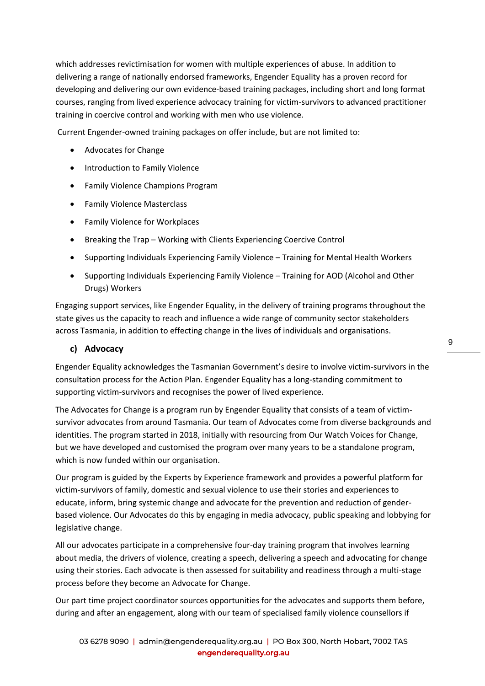which addresses revictimisation for women with multiple experiences of abuse. In addition to delivering a range of nationally endorsed frameworks, Engender Equality has a proven record for developing and delivering our own evidence-based training packages, including short and long format courses, ranging from lived experience advocacy training for victim-survivors to advanced practitioner training in coercive control and working with men who use violence.

Current Engender-owned training packages on offer include, but are not limited to:

- Advocates for Change
- Introduction to Family Violence
- Family Violence Champions Program
- Family Violence Masterclass
- Family Violence for Workplaces
- Breaking the Trap Working with Clients Experiencing Coercive Control
- Supporting Individuals Experiencing Family Violence Training for Mental Health Workers
- Supporting Individuals Experiencing Family Violence Training for AOD (Alcohol and Other Drugs) Workers

Engaging support services, like Engender Equality, in the delivery of training programs throughout the state gives us the capacity to reach and influence a wide range of community sector stakeholders across Tasmania, in addition to effecting change in the lives of individuals and organisations.

#### **c) Advocacy**

Engender Equality acknowledges the Tasmanian Government's desire to involve victim-survivors in the consultation process for the Action Plan. Engender Equality has a long-standing commitment to supporting victim-survivors and recognises the power of lived experience.

The Advocates for Change is a program run by Engender Equality that consists of a team of victimsurvivor advocates from around Tasmania. Our team of Advocates come from diverse backgrounds and identities. The program started in 2018, initially with resourcing from Our Watch Voices for Change, but we have developed and customised the program over many years to be a standalone program, which is now funded within our organisation.

Our program is guided by the Experts by Experience framework and provides a powerful platform for victim-survivors of family, domestic and sexual violence to use their stories and experiences to educate, inform, bring systemic change and advocate for the prevention and reduction of genderbased violence. Our Advocates do this by engaging in media advocacy, public speaking and lobbying for legislative change.

All our advocates participate in a comprehensive four-day training program that involves learning about media, the drivers of violence, creating a speech, delivering a speech and advocating for change using their stories. Each advocate is then assessed for suitability and readiness through a multi-stage process before they become an Advocate for Change.

Our part time project coordinator sources opportunities for the advocates and supports them before, during and after an engagement, along with our team of specialised family violence counsellors if